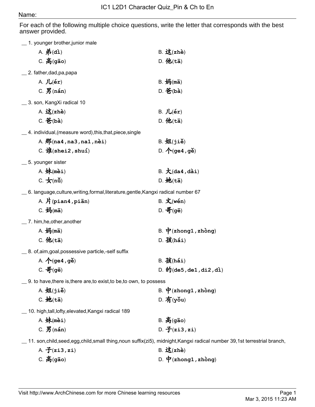## Name:

For each of the following multiple choice questions, write the letter that corresponds with the best answer provided.

|                                                                   | 1. younger brother,junior male                                                     |                                                                                                                         |
|-------------------------------------------------------------------|------------------------------------------------------------------------------------|-------------------------------------------------------------------------------------------------------------------------|
|                                                                   | A. $#(\text{di})$                                                                  | B. <b>32</b> (zhè)                                                                                                      |
|                                                                   | $C.$ 高 $(gāo)$                                                                     | D. 他 $(t\bar{a})$                                                                                                       |
|                                                                   | $\_$ 2. father, dad, pa, papa                                                      |                                                                                                                         |
|                                                                   | A. $JL(ér)$                                                                        | B. 妈(mā)                                                                                                                |
|                                                                   | $C.$ $J\!\!\!F$ (nán)                                                              | $D.$ $\mathbf{\hat{\mathfrak{E}}}$ (bà)                                                                                 |
|                                                                   | __ 3. son, KangXi radical 10                                                       |                                                                                                                         |
|                                                                   | A. 这 $(zh\grave{e})$                                                               | $B.$ $JL(ér)$                                                                                                           |
|                                                                   | $C.$ 爸(bà)                                                                         | D. 他 $(t\bar{a})$                                                                                                       |
|                                                                   | $\_$ 4. individual,(measure word),this,that,piece,single                           |                                                                                                                         |
|                                                                   | A. $\mathcal{F}(n=4, na3, na1, nèi)$                                               | $B. \overline{24(1)}$                                                                                                   |
|                                                                   | C. $\mathbf{\hat{H}}(\text{shei2}, \text{shu1})$                                   | D. $\bigwedge^{\mathbb{A}}$ (ge4, ge)                                                                                   |
|                                                                   | 5. younger sister                                                                  |                                                                                                                         |
|                                                                   | $A.$ 妹(mèi)                                                                        | $B. \nmid (da4, da1)$                                                                                                   |
|                                                                   | C. $\bigstar$ (nu)                                                                 | $D.$ 她 $(t\bar{a})$                                                                                                     |
|                                                                   | $\_$ 6. language,culture,writing,formal,literature,gentle,Kangxi radical number 67 |                                                                                                                         |
|                                                                   | A. $H$ (pian4, piān)                                                               | $B. \times (wén)$                                                                                                       |
|                                                                   | $C. \nleftrightarrow \mathfrak{B}(m\bar{a})$                                       | D. 哥(gē)                                                                                                                |
|                                                                   | __ 7. him,he,other,another                                                         |                                                                                                                         |
|                                                                   | A. 妈(mā)                                                                           | B. $\dot{\mathbf{P}}$ (zhong1, zhòng)                                                                                   |
|                                                                   | $C.$ 他 $(t\bar{a})$                                                                | $D.$ 孩 $(hái)$                                                                                                          |
|                                                                   | _ 8. of,aim,goal,possessive particle,-self suffix                                  |                                                                                                                         |
|                                                                   | A. $\Lambda$ (ge4, ge)                                                             | $B.$ 孩 $(hái)$                                                                                                          |
|                                                                   | $C. \ \overline{\mathbf{f}}(\mathsf{g}\bar{\mathsf{e}})$                           | D. $\mathbf{\hat{m}}$ (de5, de1, di2, di)                                                                               |
| _ 9. to have,there is,there are,to exist,to be,to own, to possess |                                                                                    |                                                                                                                         |
|                                                                   | $A. \overline{M(ji\delta)}$                                                        | B. $\dot{\mathbf{\Psi}}$ (zhong1, zhòng)                                                                                |
|                                                                   | $C.$ 她 $(t\bar{a})$                                                                | $D. \overline{A}(y\delta u)$                                                                                            |
|                                                                   | _ 10. high,tall,lofty,elevated,Kangxi radical 189                                  |                                                                                                                         |
|                                                                   | $A.$ 妹(mèi)                                                                        | $B. \tilde{B}$ (gāo)                                                                                                    |
|                                                                   | $C.$ $J\!\!\!F$ (nán)                                                              | D. $\mathbf{\hat{f}}(\mathbf{z}$ i3, $\mathbf{z}$ i)                                                                    |
|                                                                   |                                                                                    | __ 11. son,child,seed,egg,child,small thing,noun suffix(zi5), midnight,Kangxi radical number 39,1st terrestrial branch, |
|                                                                   | A. $\mathcal{F}(z_i, z_i)$                                                         | B. <b>ö</b> (zhè)                                                                                                       |
|                                                                   | $C.$ 高 $(gāo)$                                                                     | D. $\mathbf{\dot{P}}$ (zhong1, zhòng)                                                                                   |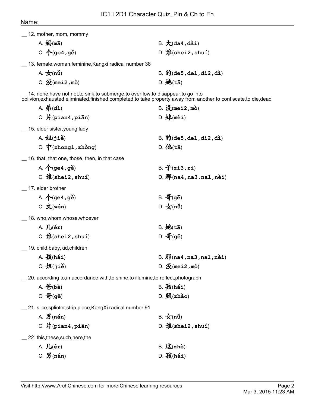| <sub>__</sub> 12. mother, mom, mommy             |                                                                                      |                                                                                                               |
|--------------------------------------------------|--------------------------------------------------------------------------------------|---------------------------------------------------------------------------------------------------------------|
| $A. \nleftrightarrow$ (ma)                       |                                                                                      | $B. \nmid (da4, da1)$                                                                                         |
| C. $\Lambda$ (ge4, ge)                           |                                                                                      | D. $\mathcal{H}$ (shei2, shuí)                                                                                |
|                                                  | __ 13. female, woman, feminine, Kangxi radical number 38                             |                                                                                                               |
| A. $\bigstar$ (nu)                               |                                                                                      | B. 的 $(\text{de5}, \text{de1}, \text{di2}, \text{di})$                                                        |
| $C.$ 没 (mei2, mò)                                |                                                                                      | $D.$ 她 $(t\bar{a})$                                                                                           |
|                                                  | 14. none, have not, not, to sink, to submerge, to overflow, to disappear, to go into | oblivion,exhausted,eliminated,finished,completed,to take property away from another,to confiscate,to die,dead |
| A. $#(\text{di})$                                |                                                                                      | $B. \mathcal{K}(\text{mei2}, \text{mò})$                                                                      |
| $C.$ $H$ (pian4, pian)                           |                                                                                      | $D.$ 妹(mèi)                                                                                                   |
| 15. elder sister, young lady                     |                                                                                      |                                                                                                               |
| $A. \n  H(jiě)$                                  |                                                                                      | B. $\mathbf{\hat{m}}$ (de5, de1, di2, di)                                                                     |
|                                                  | C. $\dot{\mathbf{\Psi}}$ (zhong1, zhòng)                                             | D. 他 $(t\bar{a})$                                                                                             |
|                                                  | $\_$ 16. that, that one, those, then, in that case                                   |                                                                                                               |
| A. $\bigwedge$ (ge4, ge)                         |                                                                                      | B. $\mathcal{F}(z_i, z_i)$                                                                                    |
| C. $\mathbf{\hat{H}}(\text{shei2}, \text{shu1})$ |                                                                                      | D. $\frac{1}{10}$ (na4, na3, na1, nèi)                                                                        |
| 17. elder brother                                |                                                                                      |                                                                                                               |
| A. $\bigwedge^{\bullet}$ (ge4, ge)               |                                                                                      | $B. \frac{1}{2}$ (ge)                                                                                         |
| $C. \times (wén)$                                |                                                                                      | D. $\bigstar$ (nù)                                                                                            |
| $\_$ 18. who,whom,whose,whoever                  |                                                                                      |                                                                                                               |
| A. $JL(ér)$                                      |                                                                                      | $B.$ 她 $(t\bar{a})$                                                                                           |
| C. $\mathbf{\hat{H}}(\text{shei2}, \text{shu1})$ |                                                                                      | D. 哥 $(g\bar{e})$                                                                                             |
| __ 19. child,baby,kid,children                   |                                                                                      |                                                                                                               |
| $A. \times (hái)$                                |                                                                                      | $B.$ $\frac{1}{10}$ (na4, na3, na1, net)                                                                      |
| $C. \nexists A(ji\delta)$                        |                                                                                      | D. $\mathcal{F}(\text{mei2}, \text{mò})$                                                                      |
|                                                  | 20. according to, in accordance with, to shine, to illumine, to reflect, photograph  |                                                                                                               |
| $A.$ $\mathbf{\hat{E}}(b\mathbf{\hat{a}})$       |                                                                                      | $B.$ 孩 $(hái)$                                                                                                |
| $C. \ \overline{\mathbf{f}}$ (gē)                |                                                                                      | $D.$ 照(zhào)                                                                                                  |
|                                                  | 21. slice, splinter, strip, piece, KangXi radical number 91                          |                                                                                                               |
| $A.$ $J\!\!\!J$ (nán)                            |                                                                                      | B. $\pm$ (nu)                                                                                                 |
| $C.$ 片(pian4, piān)                              |                                                                                      | D. 谁(shei2, shuí)                                                                                             |
| 22. this, these, such, here, the                 |                                                                                      |                                                                                                               |
| A. $JL(ér)$                                      |                                                                                      | B. <b>32</b> (zhè)                                                                                            |
| $C.$ $J\!\!\!F$ (nán)                            |                                                                                      | $D.$ 孩 $(hái)$                                                                                                |
|                                                  |                                                                                      |                                                                                                               |